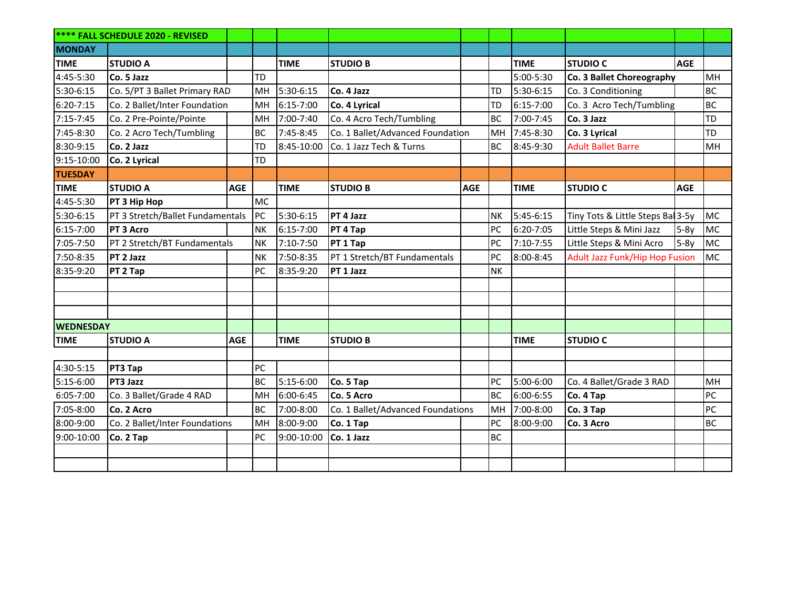| <b>**** FALL SCHEDULE 2020 - REVISED</b> |                                  |            |           |             |                                   |            |           |               |                                       |            |           |
|------------------------------------------|----------------------------------|------------|-----------|-------------|-----------------------------------|------------|-----------|---------------|---------------------------------------|------------|-----------|
| <b>MONDAY</b>                            |                                  |            |           |             |                                   |            |           |               |                                       |            |           |
| <b>TIME</b>                              | <b>STUDIO A</b>                  |            |           | <b>TIME</b> | <b>STUDIO B</b>                   |            |           | <b>TIME</b>   | <b>STUDIO C</b>                       | <b>AGE</b> |           |
| 4:45-5:30                                | Co. 5 Jazz                       |            | TD        |             |                                   |            |           | 5:00-5:30     | Co. 3 Ballet Choreography             |            | MH        |
| 5:30-6:15                                | Co. 5/PT 3 Ballet Primary RAD    |            | MH        | 5:30-6:15   | Co. 4 Jazz                        |            | TD        | 5:30-6:15     | Co. 3 Conditioning                    |            | BC        |
| 6:20-7:15                                | Co. 2 Ballet/Inter Foundation    |            | MH        | 6:15-7:00   | Co. 4 Lyrical                     |            | TD        | $6:15 - 7:00$ | Co. 3 Acro Tech/Tumbling              |            | <b>BC</b> |
| 7:15-7:45                                | Co. 2 Pre-Pointe/Pointe          |            | MH        | 7:00-7:40   | Co. 4 Acro Tech/Tumbling          |            | <b>BC</b> | 7:00-7:45     | Co. 3 Jazz                            |            | TD        |
| 7:45-8:30                                | Co. 2 Acro Tech/Tumbling         |            | <b>BC</b> | 7:45-8:45   | Co. 1 Ballet/Advanced Foundation  |            | MH        | $7:45-8:30$   | Co. 3 Lyrical                         |            | TD        |
| 8:30-9:15                                | Co. 2 Jazz                       |            | TD        | 8:45-10:00  | Co. 1 Jazz Tech & Turns           |            | <b>BC</b> | 8:45-9:30     | <b>Adult Ballet Barre</b>             |            | MH        |
| 9:15-10:00                               | Co. 2 Lyrical                    |            | TD        |             |                                   |            |           |               |                                       |            |           |
| <b>TUESDAY</b>                           |                                  |            |           |             |                                   |            |           |               |                                       |            |           |
| <b>TIME</b>                              | <b>STUDIO A</b>                  | <b>AGE</b> |           | <b>TIME</b> | <b>STUDIO B</b>                   | <b>AGE</b> |           | <b>TIME</b>   | <b>STUDIO C</b>                       | <b>AGE</b> |           |
| 4:45-5:30                                | PT 3 Hip Hop                     |            | <b>MC</b> |             |                                   |            |           |               |                                       |            |           |
| 5:30-6:15                                | PT 3 Stretch/Ballet Fundamentals |            | PC        | 5:30-6:15   | PT 4 Jazz                         |            | <b>NK</b> | $5:45-6:15$   | Tiny Tots & Little Steps Bal 3-5y     |            | MC        |
| 6:15-7:00                                | PT 3 Acro                        |            | <b>NK</b> | 6:15-7:00   | PT 4 Tap                          |            | PC        | 6:20-7:05     | Little Steps & Mini Jazz              | 5-8y       | MC        |
| 7:05-7:50                                | PT 2 Stretch/BT Fundamentals     |            | <b>NK</b> | 7:10-7:50   | PT 1 Tap                          |            | PC        | 7:10-7:55     | Little Steps & Mini Acro              | 5-8y       | MC        |
| 7:50-8:35                                | PT 2 Jazz                        |            | <b>NK</b> | 7:50-8:35   | PT 1 Stretch/BT Fundamentals      |            | PC        | 8:00-8:45     | <b>Adult Jazz Funk/Hip Hop Fusion</b> |            | MC        |
| 8:35-9:20                                | PT 2 Tap                         |            | PC        | 8:35-9:20   | PT 1 Jazz                         |            | <b>NK</b> |               |                                       |            |           |
|                                          |                                  |            |           |             |                                   |            |           |               |                                       |            |           |
|                                          |                                  |            |           |             |                                   |            |           |               |                                       |            |           |
|                                          |                                  |            |           |             |                                   |            |           |               |                                       |            |           |
| <b>WEDNESDAY</b>                         |                                  |            |           |             |                                   |            |           |               |                                       |            |           |
| <b>TIME</b>                              | <b>STUDIO A</b>                  | <b>AGE</b> |           | <b>TIME</b> | <b>STUDIO B</b>                   |            |           | <b>TIME</b>   | <b>STUDIO C</b>                       |            |           |
|                                          |                                  |            |           |             |                                   |            |           |               |                                       |            |           |
| 4:30-5:15                                | PT3 Tap                          |            | PC        |             |                                   |            |           |               |                                       |            |           |
| 5:15-6:00                                | PT3 Jazz                         |            | <b>BC</b> | 5:15-6:00   | Co. 5 Tap                         |            | PC        | 5:00-6:00     | Co. 4 Ballet/Grade 3 RAD              |            | MH        |
| $6:05 - 7:00$                            | Co. 3 Ballet/Grade 4 RAD         |            | MH        | 6:00-6:45   | Co. 5 Acro                        |            | <b>BC</b> | 6:00-6:55     | Co. 4 Tap                             |            | PC        |
| 7:05-8:00                                | Co. 2 Acro                       |            | <b>BC</b> | 7:00-8:00   | Co. 1 Ballet/Advanced Foundations |            | MH        | 7:00-8:00     | Co. 3 Tap                             |            | PC        |
| 8:00-9:00                                | Co. 2 Ballet/Inter Foundations   |            | MH        | 8:00-9:00   | Co. 1 Tap                         |            | PC        | 8:00-9:00     | Co. 3 Acro                            |            | <b>BC</b> |
| 9:00-10:00                               | Co. 2 Tap                        |            | PC        | 9:00-10:00  | Co. 1 Jazz                        |            | BC        |               |                                       |            |           |
|                                          |                                  |            |           |             |                                   |            |           |               |                                       |            |           |
|                                          |                                  |            |           |             |                                   |            |           |               |                                       |            |           |